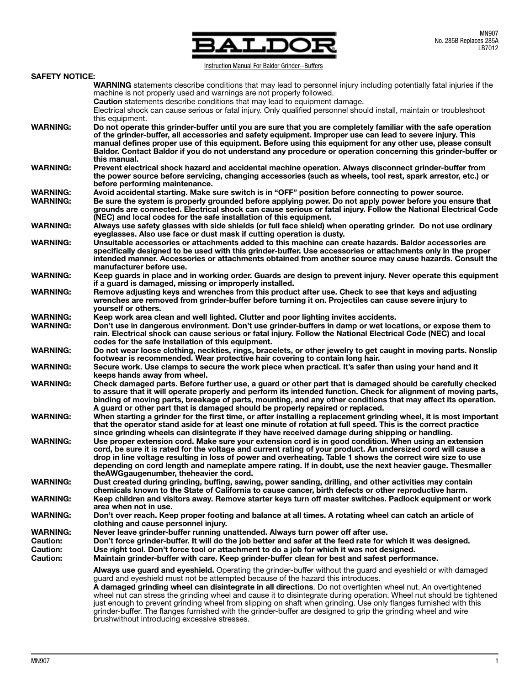

Instruction Manual For Baldor Grinder--Buffers

|                       | <u>IIISUUCUUI MAHUALLUL DAIUUL UHIIUGI--DUHGIS</u>                                                                                                                                                                                                                                                                                                                                                                                                                                                |  |  |  |  |  |
|-----------------------|---------------------------------------------------------------------------------------------------------------------------------------------------------------------------------------------------------------------------------------------------------------------------------------------------------------------------------------------------------------------------------------------------------------------------------------------------------------------------------------------------|--|--|--|--|--|
| <b>SAFETY NOTICE:</b> |                                                                                                                                                                                                                                                                                                                                                                                                                                                                                                   |  |  |  |  |  |
|                       | <b>WARNING</b> statements describe conditions that may lead to personnel injury including potentially fatal injuries if the<br>machine is not properly used and warnings are not properly followed.                                                                                                                                                                                                                                                                                               |  |  |  |  |  |
|                       | <b>Caution</b> statements describe conditions that may lead to equipment damage.<br>Electrical shock can cause serious or fatal injury. Only qualified personnel should install, maintain or troubleshoot<br>this equipment.                                                                                                                                                                                                                                                                      |  |  |  |  |  |
| <b>WARNING:</b>       | Do not operate this grinder-buffer until you are sure that you are completely familiar with the safe operation<br>of the grinder-buffer, all accessories and safety equipment. Improper use can lead to severe injury. This<br>manual defines proper use of this equipment. Before using this equipment for any other use, please consult<br>Baldor. Contact Baldor if you do not understand any procedure or operation concerning this grinder-buffer or<br>this manual.                         |  |  |  |  |  |
| <b>WARNING:</b>       | Prevent electrical shock hazard and accidental machine operation. Always disconnect grinder-buffer from<br>the power source before servicing, changing accessories (such as wheels, tool rest, spark arrestor, etc.) or<br>before performing maintenance.                                                                                                                                                                                                                                         |  |  |  |  |  |
| <b>WARNING:</b>       | Avoid accidental starting. Make sure switch is in "OFF" position before connecting to power source.                                                                                                                                                                                                                                                                                                                                                                                               |  |  |  |  |  |
|                       |                                                                                                                                                                                                                                                                                                                                                                                                                                                                                                   |  |  |  |  |  |
| <b>WARNING:</b>       | Be sure the system is properly grounded before applying power. Do not apply power before you ensure that<br>grounds are connected. Electrical shock can cause serious or fatal injury. Follow the National Electrical Code<br>(NEC) and local codes for the safe installation of this equipment.                                                                                                                                                                                                  |  |  |  |  |  |
| <b>WARNING:</b>       | Always use safety glasses with side shields (or full face shield) when operating grinder. Do not use ordinary<br>eyeglasses. Also use face or dust mask if cutting operation is dusty.                                                                                                                                                                                                                                                                                                            |  |  |  |  |  |
| <b>WARNING:</b>       | Unsuitable accessories or attachments added to this machine can create hazards. Baldor accessories are<br>specifically designed to be used with this grinder-buffer. Use accessories or attachments only in the proper<br>intended manner. Accessories or attachments obtained from another source may cause hazards. Consult the<br>manufacturer before use.                                                                                                                                     |  |  |  |  |  |
| <b>WARNING:</b>       | Keep guards in place and in working order. Guards are design to prevent injury. Never operate this equipment<br>if a guard is damaged, missing or improperly installed.                                                                                                                                                                                                                                                                                                                           |  |  |  |  |  |
| <b>WARNING:</b>       | Remove adjusting keys and wrenches from this product after use. Check to see that keys and adjusting<br>wrenches are removed from grinder-buffer before turning it on. Projectiles can cause severe injury to<br>yourself or others.                                                                                                                                                                                                                                                              |  |  |  |  |  |
| <b>WARNING:</b>       | Keep work area clean and well lighted. Clutter and poor lighting invites accidents.                                                                                                                                                                                                                                                                                                                                                                                                               |  |  |  |  |  |
| <b>WARNING:</b>       | Don't use in dangerous environment. Don't use grinder-buffers in damp or wet locations, or expose them to<br>rain. Electrical shock can cause serious or fatal injury. Follow the National Electrical Code (NEC) and local<br>codes for the safe installation of this equipment.                                                                                                                                                                                                                  |  |  |  |  |  |
| <b>WARNING:</b>       | Do not wear loose clothing, neckties, rings, bracelets, or other jewelry to get caught in moving parts. Nonslip<br>footwear is recommended. Wear protective hair covering to contain long hair.                                                                                                                                                                                                                                                                                                   |  |  |  |  |  |
| <b>WARNING:</b>       | Secure work. Use clamps to secure the work piece when practical. It's safer than using your hand and it<br>keeps hands away from wheel.                                                                                                                                                                                                                                                                                                                                                           |  |  |  |  |  |
| <b>WARNING:</b>       | Check damaged parts. Before further use, a guard or other part that is damaged should be carefully checked<br>to assure that it will operate properly and perform its intended function. Check for alignment of moving parts,<br>binding of moving parts, breakage of parts, mounting, and any other conditions that may affect its operation.<br>A guard or other part that is damaged should be properly repaired or replaced.                                                                  |  |  |  |  |  |
| <b>WARNING:</b>       | When starting a grinder for the first time, or after installing a replacement grinding wheel, it is most important<br>that the operator stand aside for at least one minute of rotation at full speed. This is the correct practice<br>since grinding wheels can disintegrate if they have received damage during shipping or handling.                                                                                                                                                           |  |  |  |  |  |
| <b>WARNING:</b>       | Use proper extension cord. Make sure your extension cord is in good condition. When using an extension<br>cord, be sure it is rated for the voltage and current rating of your product. An undersized cord will cause a<br>drop in line voltage resulting in loss of power and overheating. Table 1 shows the correct wire size to use<br>depending on cord length and nameplate ampere rating. If in doubt, use the next heavier gauge. Thesmaller<br>the AWG gaugenumber, the heavier the cord. |  |  |  |  |  |
| <b>WARNING:</b>       | Dust created during grinding, buffing, sawing, power sanding, drilling, and other activities may contain<br>chemicals known to the State of California to cause cancer, birth defects or other reproductive harm.                                                                                                                                                                                                                                                                                 |  |  |  |  |  |
| <b>WARNING:</b>       | Keep children and visitors away. Remove starter keys turn off master switches. Padlock equipment or work<br>area when not in use.                                                                                                                                                                                                                                                                                                                                                                 |  |  |  |  |  |
| <b>WARNING:</b>       | Don't over reach. Keep proper footing and balance at all times. A rotating wheel can catch an article of<br>clothing and cause personnel injury.                                                                                                                                                                                                                                                                                                                                                  |  |  |  |  |  |
| <b>WARNING:</b>       | Never leave grinder-buffer running unattended. Always turn power off after use.                                                                                                                                                                                                                                                                                                                                                                                                                   |  |  |  |  |  |
| <b>Caution:</b>       | Don't force grinder-buffer. It will do the job better and safer at the feed rate for which it was designed.                                                                                                                                                                                                                                                                                                                                                                                       |  |  |  |  |  |
| <b>Caution:</b>       | Use right tool. Don't force tool or attachment to do a job for which it was not designed.                                                                                                                                                                                                                                                                                                                                                                                                         |  |  |  |  |  |
|                       |                                                                                                                                                                                                                                                                                                                                                                                                                                                                                                   |  |  |  |  |  |
| <b>Caution:</b>       | Maintain grinder-buffer with care. Keep grinder-buffer clean for best and safest performance.                                                                                                                                                                                                                                                                                                                                                                                                     |  |  |  |  |  |
|                       | Always use guard and eyeshield. Operating the grinder-buffer without the guard and eyeshield or with damaged<br>guard and eyeshield must not be attempted because of the hazard this introduces.<br>A damaged grinding wheel can disintegrate in all directions. Do not overtighten wheel nut. An overtightened                                                                                                                                                                                   |  |  |  |  |  |
|                       | wheel nut can stress the grinding wheel and cause it to disintegrate during operation. Wheel nut should be tightened<br>just enough to prevent grinding wheel from slipping on shaft when grinding. Use only flanges furnished with this<br>grinder-buffer. The flanges furnished with the grinder-buffer are designed to grip the grinding wheel and wire<br>brushwithout introducing excessive stresses.                                                                                        |  |  |  |  |  |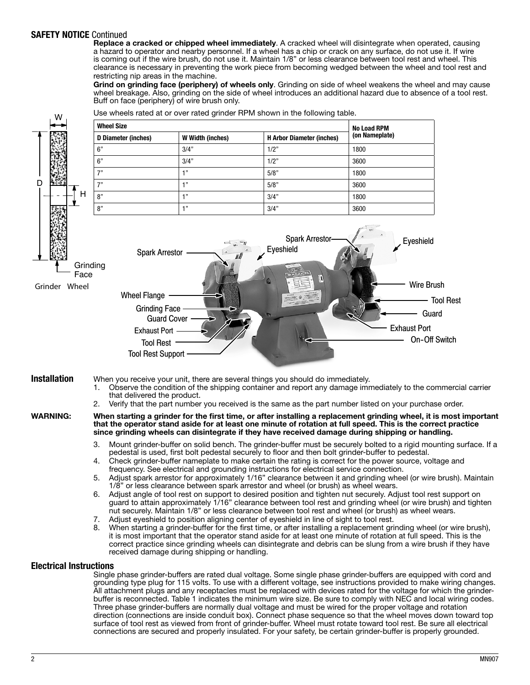## SAFETY NOTICE Continued

Replace a cracked or chipped wheel immediately. A cracked wheel will disintegrate when operated, causing a hazard to operator and nearby personnel. If a wheel has a chip or crack on any surface, do not use it. If wire is coming out if the wire brush, do not use it. Maintain 1/8" or less clearance between tool rest and wheel. This clearance is necessary in preventing the work piece from becoming wedged between the wheel and tool rest and restricting nip areas in the machine.

Grind on grinding face (periphery) of wheels only. Grinding on side of wheel weakens the wheel and may cause wheel breakage. Also, grinding on the side of wheel introduces an additional hazard due to absence of a tool rest. Buff on face (periphery) of wire brush only.



Use wheels rated at or over rated grinder RPM shown in the following table.

All attachment plugs and any receptacles must be replaced with devices rated for the voltage for which the grinderbuffer is reconnected. Table 1 indicates the minimum wire size. Be sure to comply with NEC and local wiring codes. Three phase grinder-buffers are normally dual voltage and must be wired for the proper voltage and rotation direction (connections are inside conduit box). Connect phase sequence so that the wheel moves down toward top surface of tool rest as viewed from front of grinder-buffer. Wheel must rotate toward tool rest. Be sure all electrical connections are secured and properly insulated. For your safety, be certain grinder-buffer is properly grounded.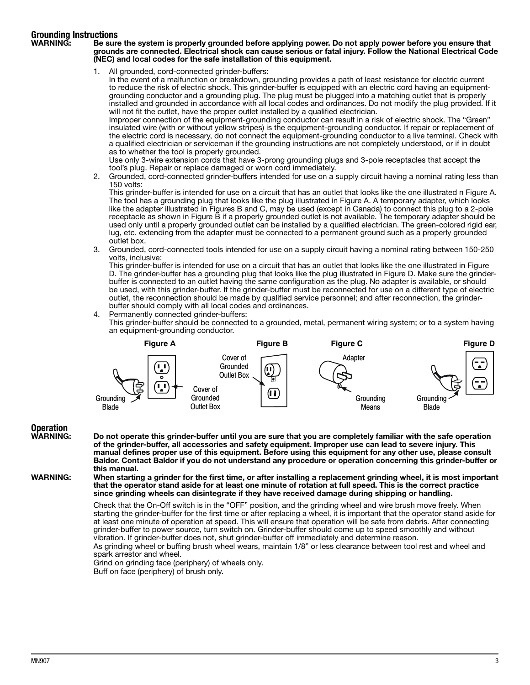# **Grounding Instructions**<br>WARNING: Be sure

Be sure the system is properly grounded before applying power. Do not apply power before you ensure that grounds are connected. Electrical shock can cause serious or fatal injury. Follow the National Electrical Code (NEC) and local codes for the safe installation of this equipment.

1. All grounded, cord-connected grinder-buffers:

In the event of a malfunction or breakdown, grounding provides a path of least resistance for electric current to reduce the risk of electric shock. This grinder-buffer is equipped with an electric cord having an equipmentgrounding conductor and a grounding plug. The plug must be plugged into a matching outlet that is properly installed and grounded in accordance with all local codes and ordinances. Do not modify the plug provided. If it will not fit the outlet, have the proper outlet installed by a qualified electrician.

Improper connection of the equipment-grounding conductor can result in a risk of electric shock. The "Green" insulated wire (with or without yellow stripes) is the equipment-grounding conductor. If repair or replacement of the electric cord is necessary, do not connect the equipment-grounding conductor to a live terminal. Check with a qualified electrician or serviceman if the grounding instructions are not completely understood, or if in doubt as to whether the tool is properly grounded.

Use only 3-wire extension cords that have 3-prong grounding plugs and 3-pole receptacles that accept the tool's plug. Repair or replace damaged or worn cord immediately.

2. Grounded, cord-connected grinder-buffers intended for use on a supply circuit having a nominal rating less than 150 volts:

This grinder-buffer is intended for use on a circuit that has an outlet that looks like the one illustrated n Figure A. The tool has a grounding plug that looks like the plug illustrated in Figure A. A temporary adapter, which looks like the adapter illustrated in Figures B and C, may be used (except in Canada) to connect this plug to a 2-pole receptacle as shown in Figure B if a properly grounded outlet is not available. The temporary adapter should be used only until a properly grounded outlet can be installed by a qualified electrician. The green-colored rigid ear, lug, etc. extending from the adapter must be connected to a permanent ground such as a properly grounded outlet box.

3. Grounded, cord-connected tools intended for use on a supply circuit having a nominal rating between 150-250 volts, inclusive:

This grinder-buffer is intended for use on a circuit that has an outlet that looks like the one illustrated in Figure D. The grinder-buffer has a grounding plug that looks like the plug illustrated in Figure D. Make sure the grinderbuffer is connected to an outlet having the same configuration as the plug. No adapter is available, or should be used, with this grinder-buffer. If the grinder-buffer must be reconnected for use on a different type of electric outlet, the reconnection should be made by qualified service personnel; and after reconnection, the grinderbuffer should comply with all local codes and ordinances.

4. Permanently connected grinder-buffers:

This grinder-buffer should be connected to a grounded, metal, permanent wiring system; or to a system having an equipment-grounding conductor.



## **Operation<br>WARNING:**

of the grinder-buffer, all accessories and safety equipment. Improper use can lead to severe injury. This manual defines proper use of this equipment. Before using this equipment for any other use, please consult Baldor. Contact Baldor if you do not understand any procedure or operation concerning this grinder-buffer or this manual.

Do not operate this grinder-buffer until you are sure that you are completely familiar with the safe operation

WARNING: When starting a grinder for the first time, or after installing a replacement grinding wheel, it is most important that the operator stand aside for at least one minute of rotation at full speed. This is the correct practice since grinding wheels can disintegrate if they have received damage during shipping or handling.

> Check that the On-Off switch is in the "OFF" position, and the grinding wheel and wire brush move freely. When starting the grinder-buffer for the first time or after replacing a wheel, it is important that the operator stand aside for at least one minute of operation at speed. This will ensure that operation will be safe from debris. After connecting grinder-buffer to power source, turn switch on. Grinder-buffer should come up to speed smoothly and without vibration. If grinder-buffer does not, shut grinder-buffer off immediately and determine reason.

As grinding wheel or buffing brush wheel wears, maintain 1/8" or less clearance between tool rest and wheel and spark arrestor and wheel.

Grind on grinding face (periphery) of wheels only. Buff on face (periphery) of brush only.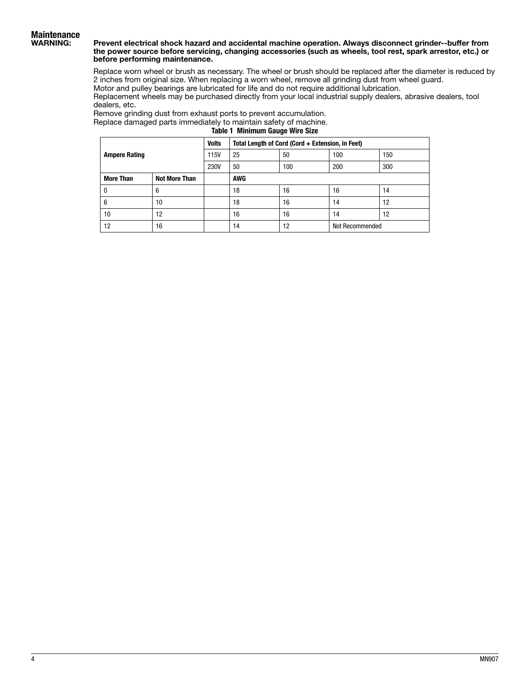#### Prevent electrical shock hazard and accidental machine operation. Always disconnect grinder--buffer from the power source before servicing, changing accessories (such as wheels, tool rest, spark arrestor, etc.) or before performing maintenance.

Replace worn wheel or brush as necessary. The wheel or brush should be replaced after the diameter is reduced by 2 inches from original size. When replacing a worn wheel, remove all grinding dust from wheel guard.

Motor and pulley bearings are lubricated for life and do not require additional lubrication.

Replacement wheels may be purchased directly from your local industrial supply dealers, abrasive dealers, tool dealers, etc.

Remove grinding dust from exhaust ports to prevent accumulation. Replace damaged parts immediately to maintain safety of machine.

Table 1 Minimum Gauge Wire Size

| <b>Ampere Rating</b> |               | <b>Volts</b> | Total Length of Cord (Cord + Extension, in Feet) |     |                 |     |
|----------------------|---------------|--------------|--------------------------------------------------|-----|-----------------|-----|
|                      |               | 115V         | 25                                               | 50  | 100             | 150 |
|                      |               | <b>230V</b>  | 50                                               | 100 | 200             | 300 |
| <b>More Than</b>     | Not More Than |              | AWG                                              |     |                 |     |
| 0                    | 6             |              | 18                                               | 16  | 16              | 14  |
| 6                    | 10            |              | 18                                               | 16  | 14              | 12  |
| 10                   | 12            |              | 16                                               | 16  | 14              | 12  |
| 12                   | 16            |              | 14                                               | 12  | Not Recommended |     |